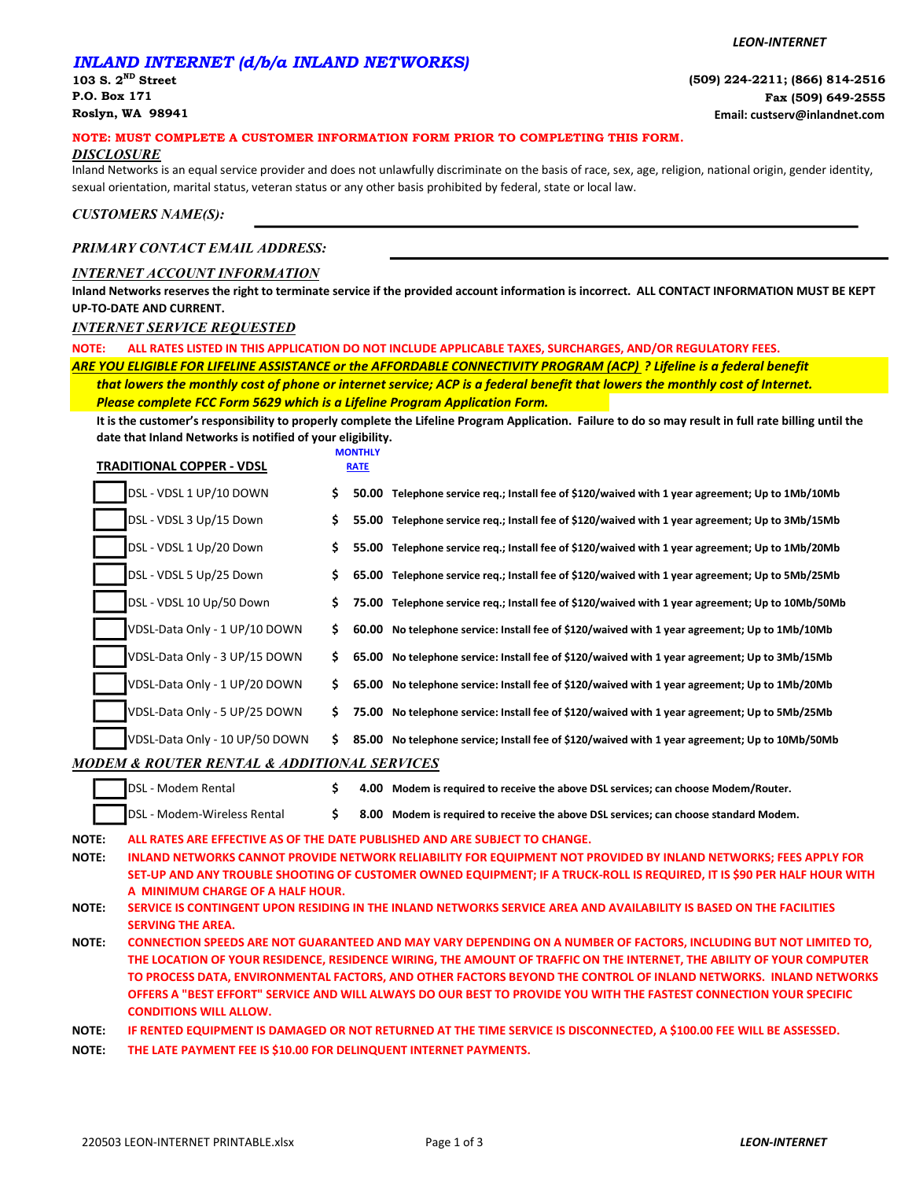#### LEON-INTERNET

## INLAND INTERNET (d/b/a INLAND NETWORKS)

## NOTE: MUST COMPLETE A CUSTOMER INFORMATION FORM PRIOR TO COMPLETING THIS FORM.

## **DISCLOSURE**

Inland Networks is an equal service provider and does not unlawfully discriminate on the basis of race, sex, age, religion, national origin, gender identity, sexual orientation, marital status, veteran status or any other basis prohibited by federal, state or local law.

CUSTOMERS NAME(S):

## PRIMARY CONTACT EMAIL ADDRESS:

## INTERNET ACCOUNT INFORMATION

Inland Networks reserves the right to terminate service if the provided account information is incorrect. ALL CONTACT INFORMATION MUST BE KEPT UP-TO-DATE AND CURRENT.

## INTERNET SERVICE REQUESTED

NOTE: ALL RATES LISTED IN THIS APPLICATION DO NOT INCLUDE APPLICABLE TAXES, SURCHARGES, AND/OR REGULATORY FEES.

ARE YOU ELIGIBLE FOR LIFELINE ASSISTANCE or the AFFORDABLE CONNECTIVITY PROGRAM (ACP) ? Lifeline is a federal benefit Please complete FCC Form 5629 which is a Lifeline Program Application Form. that lowers the monthly cost of phone or internet service; ACP is a federal benefit that lowers the monthly cost of Internet.

It is the customer's responsibility to properly complete the Lifeline Program Application. Failure to do so may result in full rate billing until the date that Inland Networks is notified of your eligibility.

|                              | <b>TRADITIONAL COPPER - VDSL</b>            |     | <b>MONTHLY</b><br><b>RATE</b> |                                                                                                                                                                                                                                                                                                                            |
|------------------------------|---------------------------------------------|-----|-------------------------------|----------------------------------------------------------------------------------------------------------------------------------------------------------------------------------------------------------------------------------------------------------------------------------------------------------------------------|
|                              | DSL - VDSL 1 UP/10 DOWN                     | \$. |                               | 50.00 Telephone service req.; Install fee of \$120/waived with 1 year agreement; Up to 1Mb/10Mb                                                                                                                                                                                                                            |
|                              | DSL - VDSL 3 Up/15 Down                     | \$  |                               | 55.00 Telephone service req.; Install fee of \$120/waived with 1 year agreement; Up to 3Mb/15Mb                                                                                                                                                                                                                            |
|                              | DSL - VDSL 1 Up/20 Down                     | \$. |                               | 55.00 Telephone service req.; Install fee of \$120/waived with 1 year agreement; Up to 1Mb/20Mb                                                                                                                                                                                                                            |
|                              | DSL - VDSL 5 Up/25 Down                     | \$. |                               | 65.00 Telephone service req.; Install fee of \$120/waived with 1 year agreement; Up to 5Mb/25Mb                                                                                                                                                                                                                            |
|                              | DSL - VDSL 10 Up/50 Down                    | \$. |                               | 75.00 Telephone service req.; Install fee of \$120/waived with 1 year agreement; Up to 10Mb/50Mb                                                                                                                                                                                                                           |
|                              | VDSL-Data Only - 1 UP/10 DOWN               | \$. |                               | 60.00 No telephone service: Install fee of \$120/waived with 1 year agreement; Up to 1Mb/10Mb                                                                                                                                                                                                                              |
|                              | VDSL-Data Only - 3 UP/15 DOWN               | S.  |                               | 65.00 No telephone service: Install fee of \$120/waived with 1 year agreement; Up to 3Mb/15Mb                                                                                                                                                                                                                              |
|                              | VDSL-Data Only - 1 UP/20 DOWN               | S.  |                               | 65.00 No telephone service: Install fee of \$120/waived with 1 year agreement; Up to 1Mb/20Mb                                                                                                                                                                                                                              |
|                              | VDSL-Data Only - 5 UP/25 DOWN               | S.  |                               | 75.00 No telephone service: Install fee of \$120/waived with 1 year agreement; Up to 5Mb/25Mb                                                                                                                                                                                                                              |
|                              | VDSL-Data Only - 10 UP/50 DOWN              | S.  |                               | 85.00 No telephone service; Install fee of \$120/waived with 1 year agreement; Up to 10Mb/50Mb                                                                                                                                                                                                                             |
|                              | MODEM & ROUTER RENTAL & ADDITIONAL SERVICES |     |                               |                                                                                                                                                                                                                                                                                                                            |
|                              | DSL - Modem Rental                          | \$  |                               | 4.00 Modem is required to receive the above DSL services; can choose Modem/Router.                                                                                                                                                                                                                                         |
|                              | DSL - Modem-Wireless Rental                 | \$  |                               | 8.00 Modem is required to receive the above DSL services; can choose standard Modem.                                                                                                                                                                                                                                       |
| <b>NOTE:</b><br><b>NOTE:</b> | A MINIMUM CHARGE OF A HALF HOUR.            |     |                               | ALL RATES ARE EFFECTIVE AS OF THE DATE PUBLISHED AND ARE SUBJECT TO CHANGE.<br>INLAND NETWORKS CANNOT PROVIDE NETWORK RELIABILITY FOR EQUIPMENT NOT PROVIDED BY INLAND NETWORKS; FEES APPLY FOR<br>SET-UP AND ANY TROUBLE SHOOTING OF CUSTOMER OWNED EQUIPMENT; IF A TRUCK-ROLL IS REQUIRED, IT IS \$90 PER HALF HOUR WITH |

#### NOTE: SERVICE IS CONTINGENT UPON RESIDING IN THE INLAND NETWORKS SERVICE AREA AND AVAILABILITY IS BASED ON THE FACILITIES SERVING THE AREA.

NOTE: CONNECTION SPEEDS ARE NOT GUARANTEED AND MAY VARY DEPENDING ON A NUMBER OF FACTORS, INCLUDING BUT NOT LIMITED TO, THE LOCATION OF YOUR RESIDENCE, RESIDENCE WIRING, THE AMOUNT OF TRAFFIC ON THE INTERNET, THE ABILITY OF YOUR COMPUTER TO PROCESS DATA, ENVIRONMENTAL FACTORS, AND OTHER FACTORS BEYOND THE CONTROL OF INLAND NETWORKS. INLAND NETWORKS OFFERS A "BEST EFFORT" SERVICE AND WILL ALWAYS DO OUR BEST TO PROVIDE YOU WITH THE FASTEST CONNECTION YOUR SPECIFIC CONDITIONS WILL ALLOW.

NOTE: IF RENTED EQUIPMENT IS DAMAGED OR NOT RETURNED AT THE TIME SERVICE IS DISCONNECTED, A \$100.00 FEE WILL BE ASSESSED.

NOTE: THE LATE PAYMENT FEE IS \$10.00 FOR DELINQUENT INTERNET PAYMENTS.

 $\mathsf{N}$  $\overline{N}$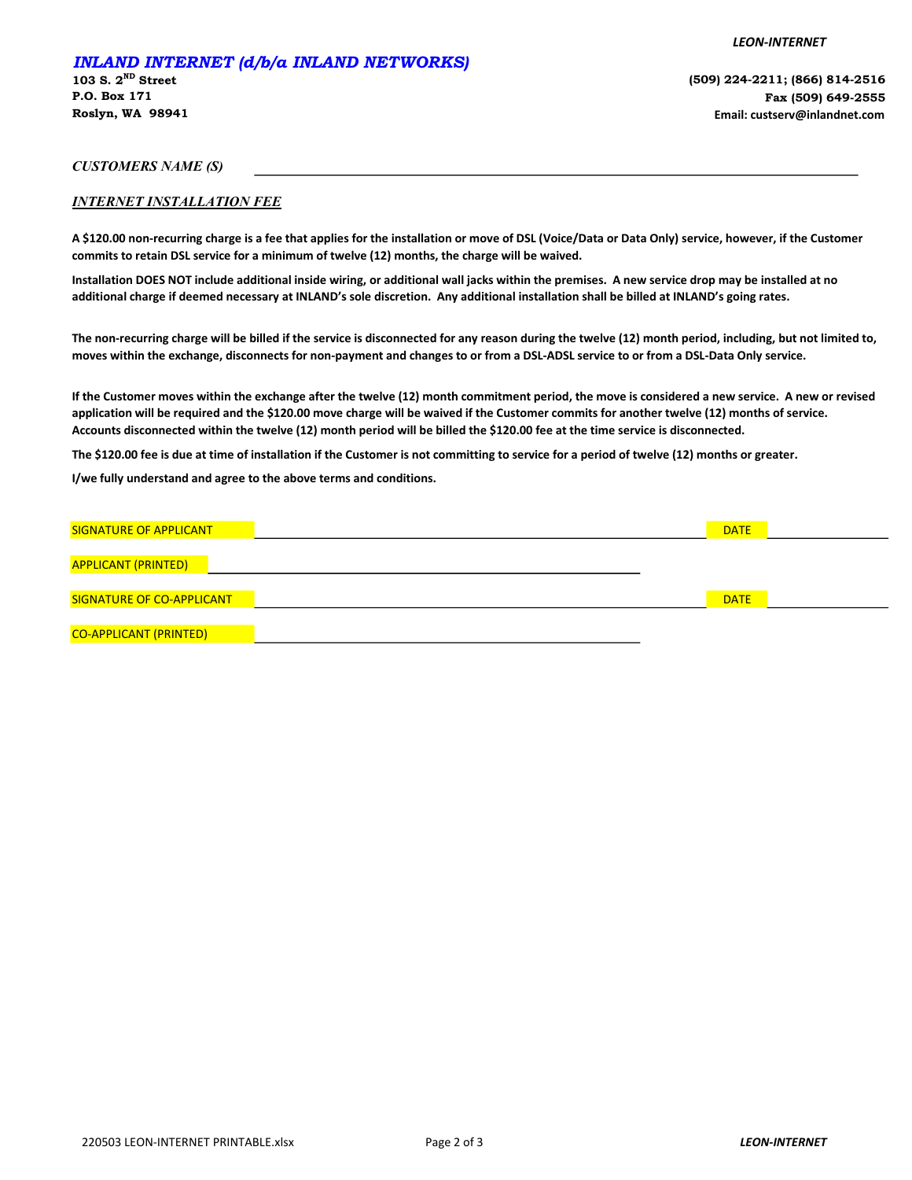## INLAND INTERNET (d/b/a INLAND NETWORKS)

103 S.  $2^{ND}$  Street P.O. Box 171 Roslyn, WA 98941 (509) 224-2211; (866) 814-2516 Fax (509) 649-2555 Email: custserv@inlandnet.com

LEON-INTERNET

CUSTOMERS NAME (S)

## INTERNET INSTALLATION FEE

A \$120.00 non-recurring charge is a fee that applies for the installation or move of DSL (Voice/Data or Data Only) service, however, if the Customer commits to retain DSL service for a minimum of twelve (12) months, the charge will be waived.

Installation DOES NOT include additional inside wiring, or additional wall jacks within the premises. A new service drop may be installed at no additional charge if deemed necessary at INLAND's sole discretion. Any additional installation shall be billed at INLAND's going rates.

The non-recurring charge will be billed if the service is disconnected for any reason during the twelve (12) month period, including, but not limited to, moves within the exchange, disconnects for non-payment and changes to or from a DSL-ADSL service to or from a DSL-Data Only service.

If the Customer moves within the exchange after the twelve (12) month commitment period, the move is considered a new service. A new or revised application will be required and the \$120.00 move charge will be waived if the Customer commits for another twelve (12) months of service. Accounts disconnected within the twelve (12) month period will be billed the \$120.00 fee at the time service is disconnected.

The \$120.00 fee is due at time of installation if the Customer is not committing to service for a period of twelve (12) months or greater.

I/we fully understand and agree to the above terms and conditions.

| <b>SIGNATURE OF APPLICANT</b> | <b>DATE</b> |  |
|-------------------------------|-------------|--|
|                               |             |  |
| <b>APPLICANT (PRINTED)</b>    |             |  |
| SIGNATURE OF CO-APPLICANT     | <b>DATE</b> |  |
|                               |             |  |
| <b>CO-APPLICANT (PRINTED)</b> |             |  |